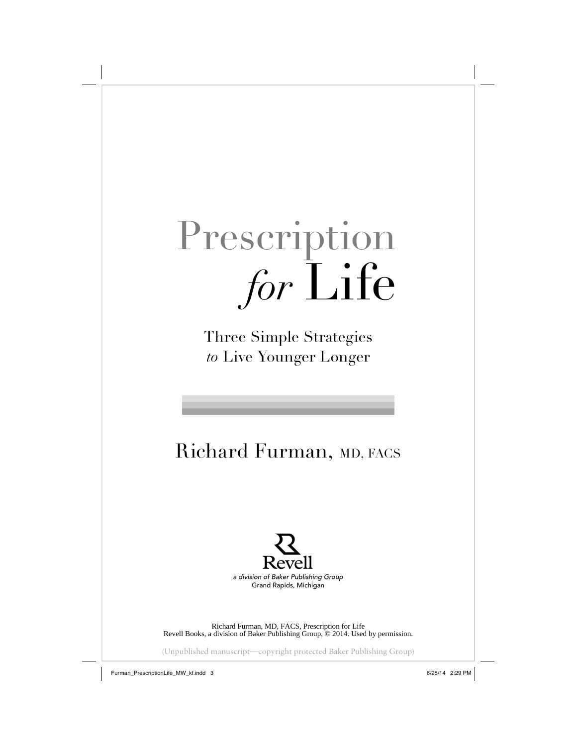

Three Simple Strategies *to* Live Younger Longer

Richard Furman, MD, FACS



Richard Furman, MD, FACS, Prescription for Life Revell Books, a division of Baker Publishing Group, © 2014. Used by permission.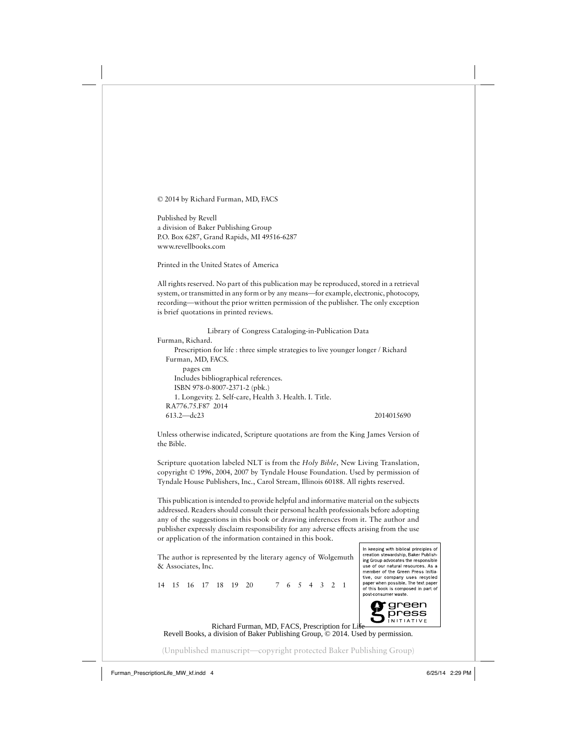© 2014 by Richard Furman, MD, FACS

Published by Revell a division of Baker Publishing Group P.O. Box 6287, Grand Rapids, MI 49516-6287 www.revellbooks.com

Printed in the United States of America

All rights reserved. No part of this publication may be reproduced, stored in a retrieval system, or transmitted in any form or by any means—for example, electronic, photocopy, recording—without the prior written permission of the publisher. The only exception is brief quotations in printed reviews.

| Library of Congress Cataloging-in-Publication Data                              |            |
|---------------------------------------------------------------------------------|------------|
| Furman, Richard.                                                                |            |
| Prescription for life: three simple strategies to live younger longer / Richard |            |
| Furman, MD, FACS.                                                               |            |
| pages cm                                                                        |            |
| Includes bibliographical references.                                            |            |
| ISBN 978-0-8007-2371-2 (pbk.)                                                   |            |
| 1. Longevity. 2. Self-care, Health 3. Health. I. Title.                         |            |
| RA776.75.F87 2014                                                               |            |
| $613.2 - dc23$                                                                  | 2014015690 |
|                                                                                 |            |

Unless otherwise indicated, Scripture quotations are from the King James Version of the Bible.

Scripture quotation labeled NLT is from the *Holy Bible*, New Living Translation, copyright © 1996, 2004, 2007 by Tyndale House Foundation. Used by permission of Tyndale House Publishers, Inc., Carol Stream, Illinois 60188. All rights reserved.

This publication is intended to provide helpful and informative material on the subjects addressed. Readers should consult their personal health professionals before adopting any of the suggestions in this book or drawing inferences from it. The author and publisher expressly disclaim responsibility for any adverse effects arising from the use or application of the information contained in this book.

The author is represented by the literary agency of Wolgemuth & Associates, Inc.

14 15 16 17 18 19 20 7 6 5 4 3 2 1



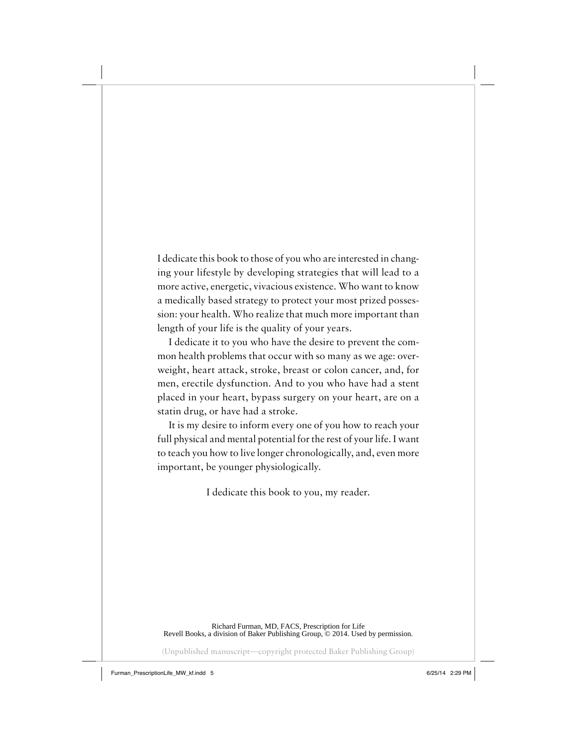I dedicate this book to those of you who are interested in changing your lifestyle by developing strategies that will lead to a more active, energetic, vivacious existence. Who want to know a medically based strategy to protect your most prized possession: your health. Who realize that much more important than length of your life is the quality of your years.

I dedicate it to you who have the desire to prevent the common health problems that occur with so many as we age: overweight, heart attack, stroke, breast or colon cancer, and, for men, erectile dysfunction. And to you who have had a stent placed in your heart, bypass surgery on your heart, are on a statin drug, or have had a stroke.

It is my desire to inform every one of you how to reach your full physical and mental potential for the rest of your life. I want to teach you how to live longer chronologically, and, even more important, be younger physiologically.

I dedicate this book to you, my reader.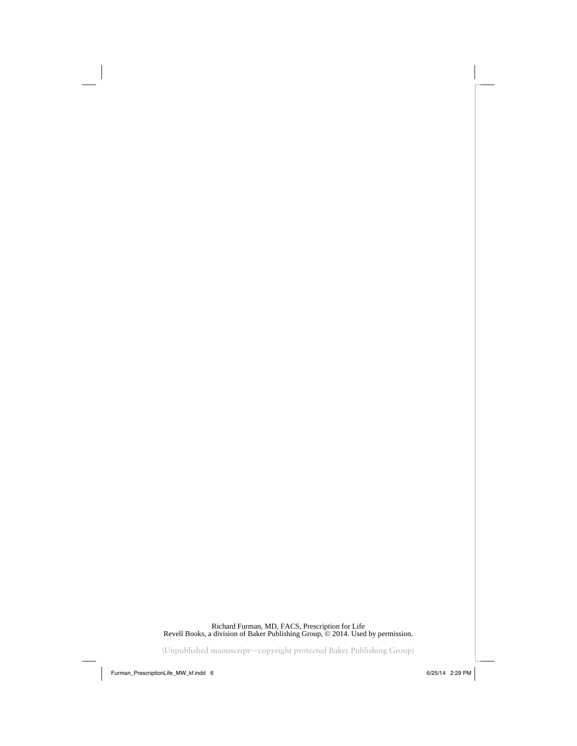Richard Furman, MD, FACS, Prescription for Life Revell Books, a division of Baker Publishing Group, © 2014. Used by permission.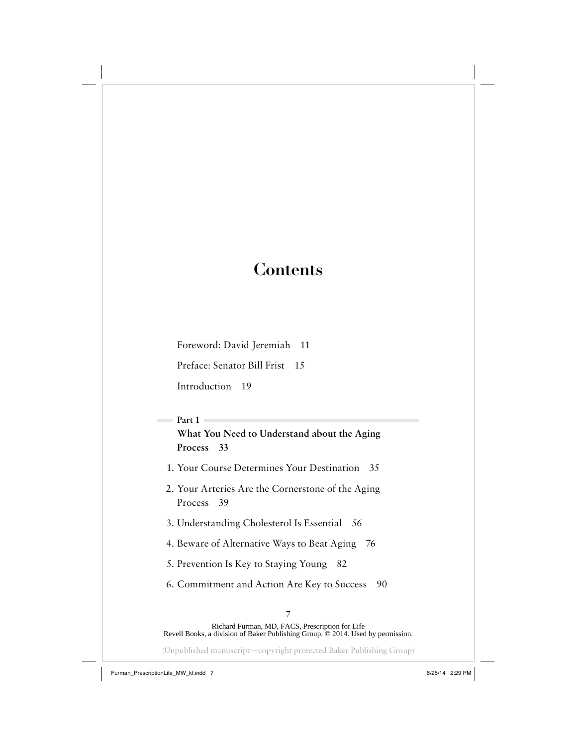## **Contents**

Foreword: David Jeremiah 11

Preface: Senator Bill Frist 15

Introduction 19

#### **Part 1**  $=$

**What You Need to Understand about the Aging Process 33**

- 1. Your Course Determines Your Destination 35
- 2. Your Arteries Are the Cornerstone of the Aging Process 39
- 3. Understanding Cholesterol Is Essential 56
- 4. Beware of Alternative Ways to Beat Aging 76
- 5. Prevention Is Key to Staying Young 82
- 6. Commitment and Action Are Key to Success 90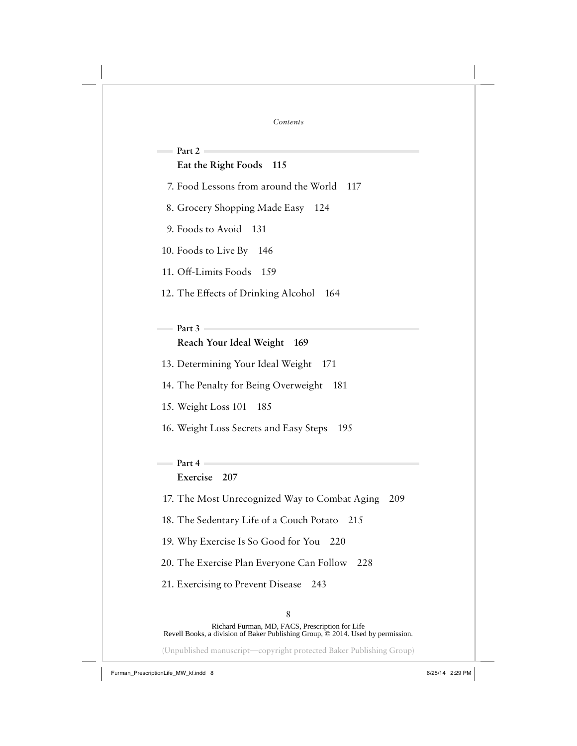*Contents*

| Part $21$                                     |
|-----------------------------------------------|
| Eat the Right Foods 115                       |
| 7. Food Lessons from around the World<br>117  |
| 8. Grocery Shopping Made Easy 124             |
| 9. Foods to Avoid 131                         |
| 10. Foods to Live By 146                      |
| 11. Off-Limits Foods 159                      |
| 12. The Effects of Drinking Alcohol 164       |
|                                               |
| Part 3                                        |
| Reach Your Ideal Weight<br>169                |
| 13. Determining Your Ideal Weight 171         |
| 14. The Penalty for Being Overweight<br>181   |
| 15. Weight Loss 101 185                       |
| 16. Weight Loss Secrets and Easy Steps<br>195 |

**Part 4 Exercise 207**

17. The Most Unrecognized Way to Combat Aging 209

- 18. The Sedentary Life of a Couch Potato 215
- 19. Why Exercise Is So Good for You 220
- 20. The Exercise Plan Everyone Can Follow 228
- 21. Exercising to Prevent Disease 243

Richard Furman, MD, FACS, Prescription for Life Revell Books, a division of Baker Publishing Group, © 2014. Used by permission.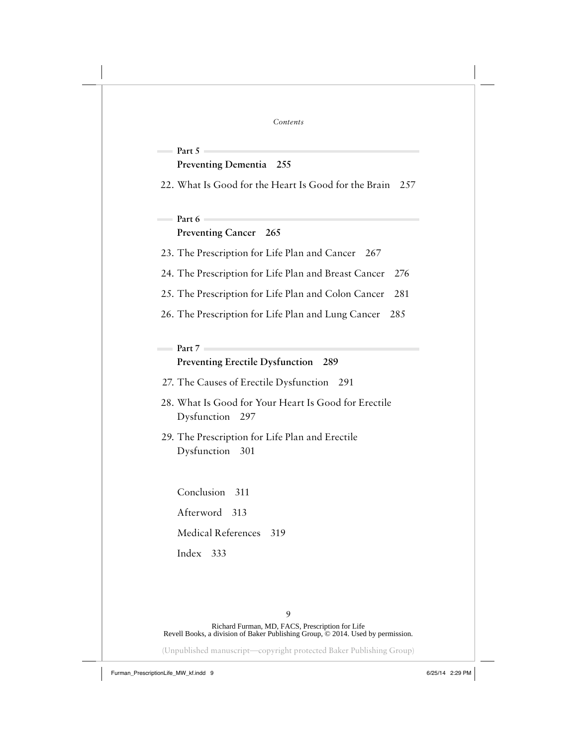#### **Part 5 Preventing Dementia 255**

22. What Is Good for the Heart Is Good for the Brain 257

#### **Part 6 Preventing Cancer 265**

23. The Prescription for Life Plan and Cancer 267

24. The Prescription for Life Plan and Breast Cancer 276

25. The Prescription for Life Plan and Colon Cancer 281

26. The Prescription for Life Plan and Lung Cancer 285

#### $Part 7$ **Preventing Erectile Dysfunction 289**

27. The Causes of Erectile Dysfunction 291

- 28. What Is Good for Your Heart Is Good for Erectile Dysfunction 297
- 29. The Prescription for Life Plan and Erectile Dysfunction 301

 Conclusion 311 Afterword 313 Medical References 319 Index 333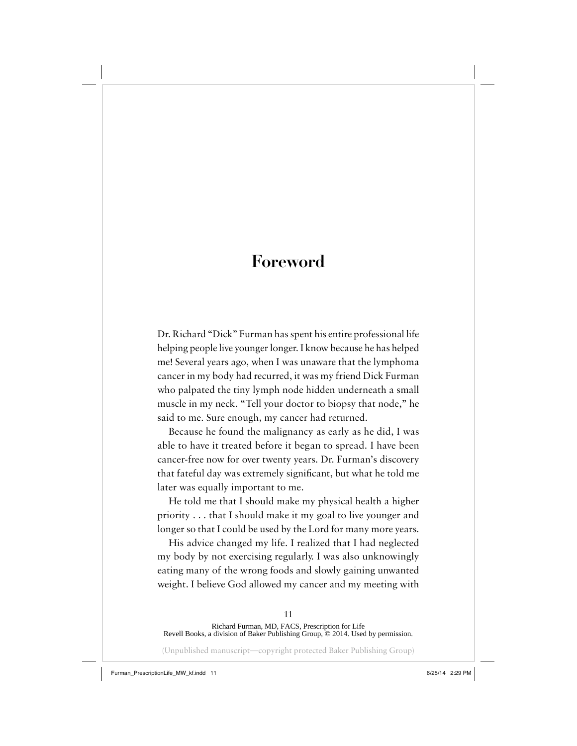## **Foreword**

Dr. Richard "Dick" Furman has spent his entire professional life helping people live younger longer. I know because he has helped me! Several years ago, when I was unaware that the lymphoma cancer in my body had recurred, it was my friend Dick Furman who palpated the tiny lymph node hidden underneath a small muscle in my neck. "Tell your doctor to biopsy that node," he said to me. Sure enough, my cancer had returned.

Because he found the malignancy as early as he did, I was able to have it treated before it began to spread. I have been cancer-free now for over twenty years. Dr. Furman's discovery that fateful day was extremely significant, but what he told me later was equally important to me.

He told me that I should make my physical health a higher priority . . . that I should make it my goal to live younger and longer so that I could be used by the Lord for many more years.

His advice changed my life. I realized that I had neglected my body by not exercising regularly. I was also unknowingly eating many of the wrong foods and slowly gaining unwanted weight. I believe God allowed my cancer and my meeting with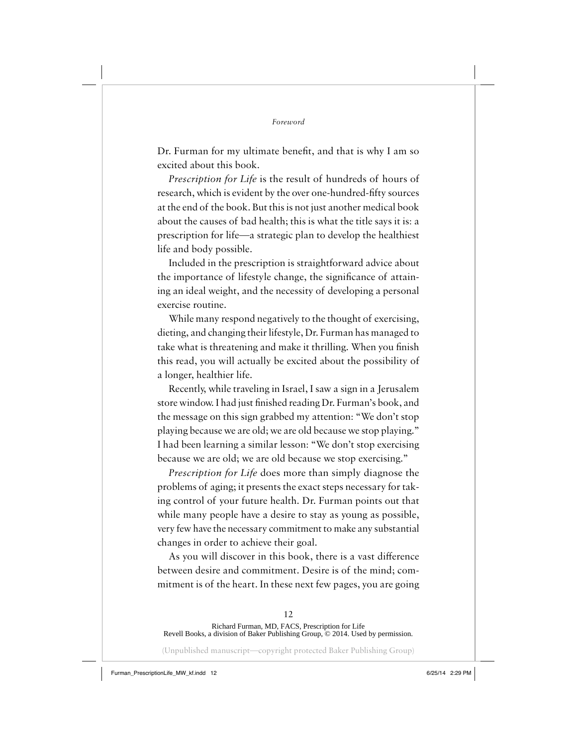#### *Foreword*

Dr. Furman for my ultimate benefit, and that is why I am so excited about this book.

*Prescription for Life* is the result of hundreds of hours of research, which is evident by the over one-hundred-fifty sources at the end of the book. But this is not just another medical book about the causes of bad health; this is what the title says it is: a prescription for life—a strategic plan to develop the healthiest life and body possible.

Included in the prescription is straightforward advice about the importance of lifestyle change, the significance of attaining an ideal weight, and the necessity of developing a personal exercise routine.

While many respond negatively to the thought of exercising, dieting, and changing their lifestyle, Dr. Furman has managed to take what is threatening and make it thrilling. When you finish this read, you will actually be excited about the possibility of a longer, healthier life.

Recently, while traveling in Israel, I saw a sign in a Jerusalem store window. I had just finished reading Dr. Furman's book, and the message on this sign grabbed my attention: "We don't stop playing because we are old; we are old because we stop playing." I had been learning a similar lesson: "We don't stop exercising because we are old; we are old because we stop exercising."

*Prescription for Life* does more than simply diagnose the problems of aging; it presents the exact steps necessary for taking control of your future health. Dr. Furman points out that while many people have a desire to stay as young as possible, very few have the necessary commitment to make any substantial changes in order to achieve their goal.

As you will discover in this book, there is a vast difference between desire and commitment. Desire is of the mind; commitment is of the heart. In these next few pages, you are going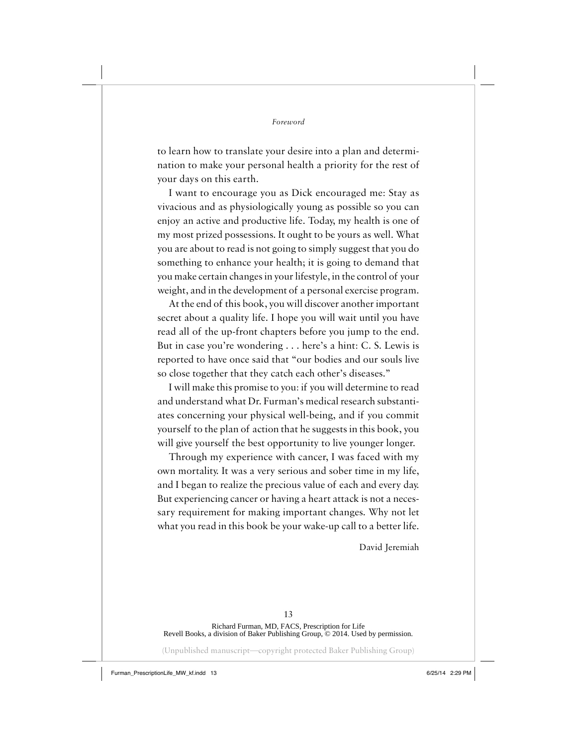#### *Foreword*

to learn how to translate your desire into a plan and determination to make your personal health a priority for the rest of your days on this earth.

I want to encourage you as Dick encouraged me: Stay as vivacious and as physiologically young as possible so you can enjoy an active and productive life. Today, my health is one of my most prized possessions. It ought to be yours as well. What you are about to read is not going to simply suggest that you do something to enhance your health; it is going to demand that you make certain changes in your lifestyle, in the control of your weight, and in the development of a personal exercise program.

At the end of this book, you will discover another important secret about a quality life. I hope you will wait until you have read all of the up-front chapters before you jump to the end. But in case you're wondering . . . here's a hint: C. S. Lewis is reported to have once said that "our bodies and our souls live so close together that they catch each other's diseases."

I will make this promise to you: if you will determine to read and understand what Dr. Furman's medical research substantiates concerning your physical well-being, and if you commit yourself to the plan of action that he suggests in this book, you will give yourself the best opportunity to live younger longer.

Through my experience with cancer, I was faced with my own mortality. It was a very serious and sober time in my life, and I began to realize the precious value of each and every day. But experiencing cancer or having a heart attack is not a necessary requirement for making important changes. Why not let what you read in this book be your wake-up call to a better life.

David Jeremiah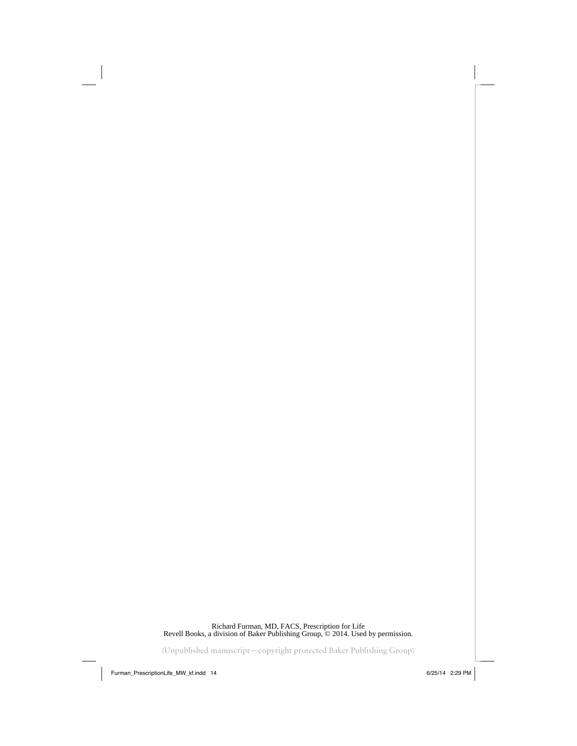Richard Furman, MD, FACS, Prescription for Life Revell Books, a division of Baker Publishing Group, © 2014. Used by permission.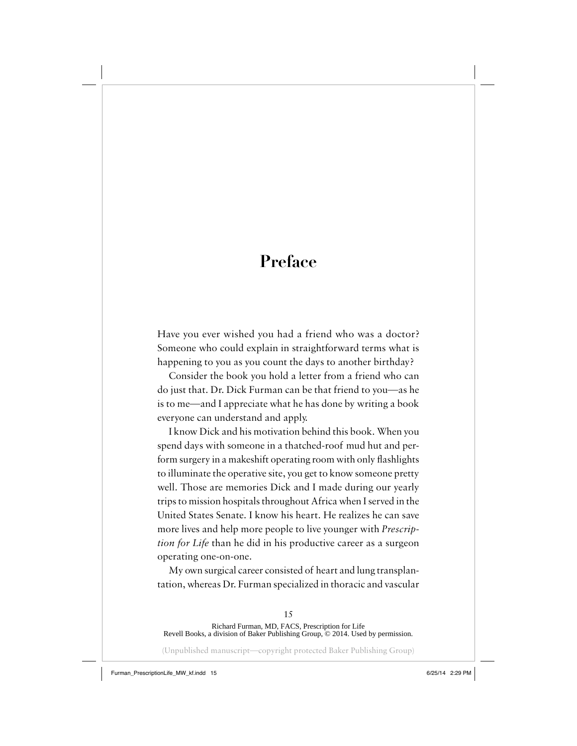Have you ever wished you had a friend who was a doctor? Someone who could explain in straightforward terms what is happening to you as you count the days to another birthday?

Consider the book you hold a letter from a friend who can do just that. Dr. Dick Furman can be that friend to you—as he is to me—and I appreciate what he has done by writing a book everyone can understand and apply.

I know Dick and his motivation behind this book. When you spend days with someone in a thatched-roof mud hut and perform surgery in a makeshift operating room with only flashlights to illuminate the operative site, you get to know someone pretty well. Those are memories Dick and I made during our yearly trips to mission hospitals throughout Africa when I served in the United States Senate. I know his heart. He realizes he can save more lives and help more people to live younger with *Prescription for Life* than he did in his productive career as a surgeon operating one-on-one.

My own surgical career consisted of heart and lung transplantation, whereas Dr. Furman specialized in thoracic and vascular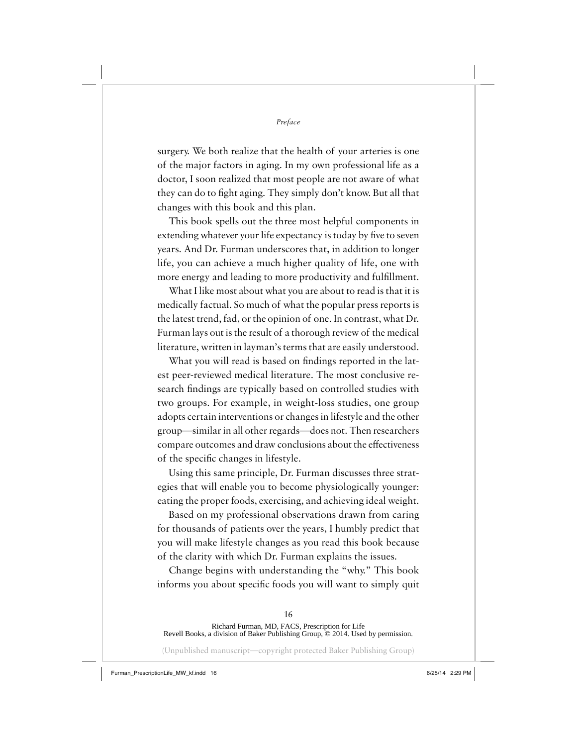surgery. We both realize that the health of your arteries is one of the major factors in aging. In my own professional life as a doctor, I soon realized that most people are not aware of what they can do to fight aging. They simply don't know. But all that changes with this book and this plan.

This book spells out the three most helpful components in extending whatever your life expectancy is today by five to seven years. And Dr. Furman underscores that, in addition to longer life, you can achieve a much higher quality of life, one with more energy and leading to more productivity and fulfillment.

What I like most about what you are about to read is that it is medically factual. So much of what the popular press reports is the latest trend, fad, or the opinion of one. In contrast, what Dr. Furman lays out is the result of a thorough review of the medical literature, written in layman's terms that are easily understood.

What you will read is based on findings reported in the latest peer-reviewed medical literature. The most conclusive research findings are typically based on controlled studies with two groups. For example, in weight-loss studies, one group adopts certain interventions or changes in lifestyle and the other group—similar in all other regards—does not. Then researchers compare outcomes and draw conclusions about the effectiveness of the specific changes in lifestyle.

Using this same principle, Dr. Furman discusses three strategies that will enable you to become physiologically younger: eating the proper foods, exercising, and achieving ideal weight.

Based on my professional observations drawn from caring for thousands of patients over the years, I humbly predict that you will make lifestyle changes as you read this book because of the clarity with which Dr. Furman explains the issues.

Change begins with understanding the "why." This book informs you about specific foods you will want to simply quit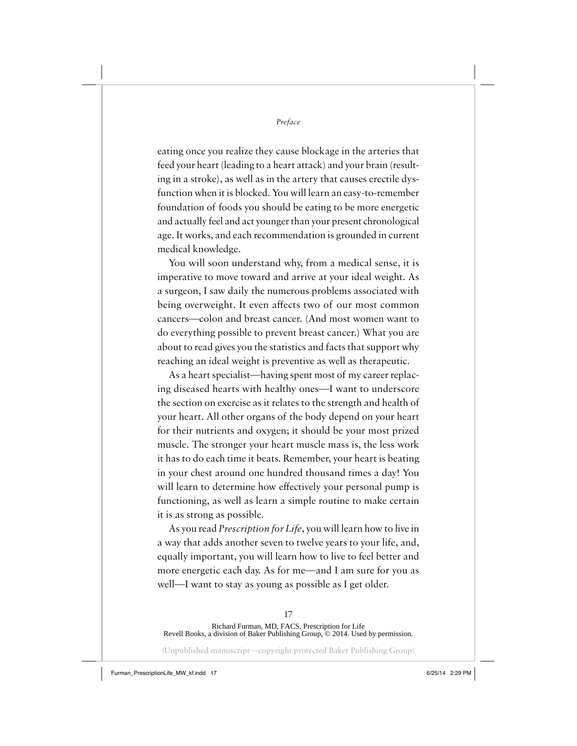eating once you realize they cause blockage in the arteries that feed your heart (leading to a heart attack) and your brain (resulting in a stroke), as well as in the artery that causes erectile dysfunction when it is blocked. You will learn an easy-to-remember foundation of foods you should be eating to be more energetic and actually feel and act younger than your present chronological age. It works, and each recommendation is grounded in current medical knowledge.

You will soon understand why, from a medical sense, it is imperative to move toward and arrive at your ideal weight. As a surgeon, I saw daily the numerous problems associated with being overweight. It even affects two of our most common cancers—colon and breast cancer. (And most women want to do everything possible to prevent breast cancer.) What you are about to read gives you the statistics and facts that support why reaching an ideal weight is preventive as well as therapeutic.

As a heart specialist—having spent most of my career replacing diseased hearts with healthy ones—I want to underscore the section on exercise as it relates to the strength and health of your heart. All other organs of the body depend on your heart for their nutrients and oxygen; it should be your most prized muscle. The stronger your heart muscle mass is, the less work it has to do each time it beats. Remember, your heart is beating in your chest around one hundred thousand times a day! You will learn to determine how effectively your personal pump is functioning, as well as learn a simple routine to make certain it is as strong as possible.

As you read *Prescription for Life*, you will learn how to live in a way that adds another seven to twelve years to your life, and, equally important, you will learn how to live to feel better and more energetic each day. As for me—and I am sure for you as well—I want to stay as young as possible as I get older.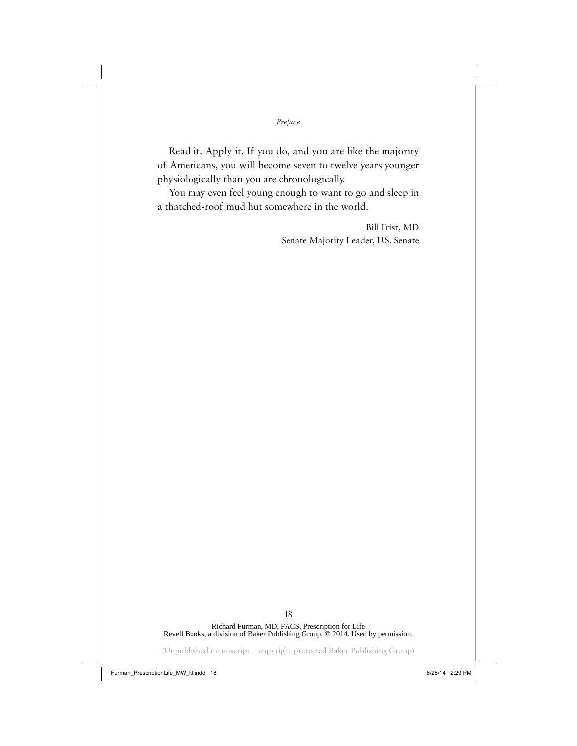Read it. Apply it. If you do, and you are like the majority of Americans, you will become seven to twelve years younger physiologically than you are chronologically.

You may even feel young enough to want to go and sleep in a thatched-roof mud hut somewhere in the world.

> Bill Frist, MD Senate Majority Leader, U.S. Senate

Richard Furman, MD, FACS, Prescription for Life Revell Books, a division of Baker Publishing Group, © 2014. Used by permission.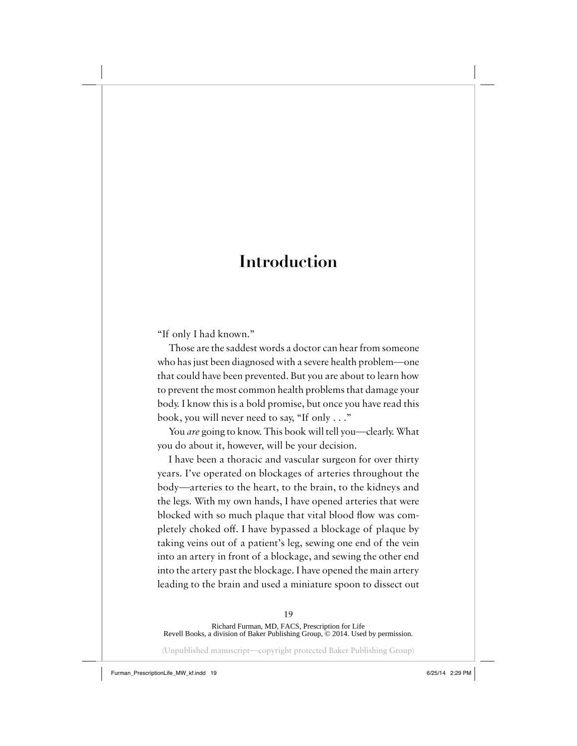"If only I had known."

Those are the saddest words a doctor can hear from someone who has just been diagnosed with a severe health problem—one that could have been prevented. But you are about to learn how to prevent the most common health problems that damage your body. I know this is a bold promise, but once you have read this book, you will never need to say, "If only . . ."

You *are* going to know. This book will tell you—clearly. What you do about it, however, will be your decision.

I have been a thoracic and vascular surgeon for over thirty years. I've operated on blockages of arteries throughout the body—arteries to the heart, to the brain, to the kidneys and the legs. With my own hands, I have opened arteries that were blocked with so much plaque that vital blood flow was completely choked off. I have bypassed a blockage of plaque by taking veins out of a patient's leg, sewing one end of the vein into an artery in front of a blockage, and sewing the other end into the artery past the blockage. I have opened the main artery leading to the brain and used a miniature spoon to dissect out

19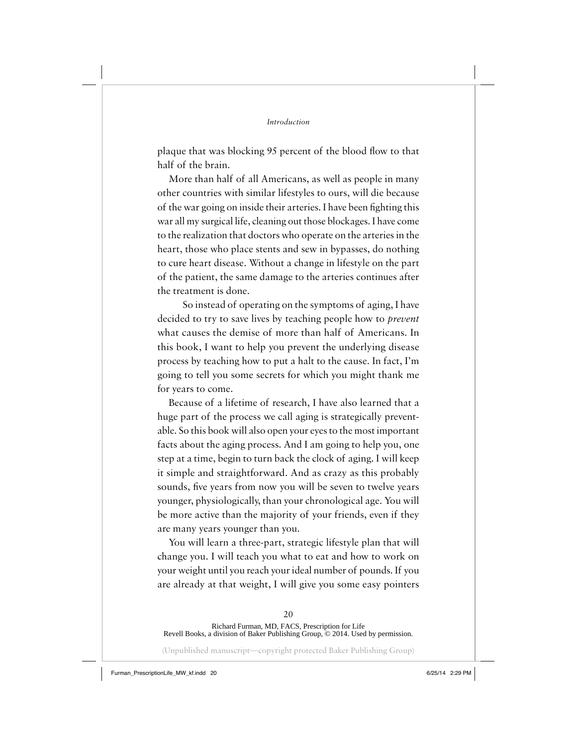plaque that was blocking 95 percent of the blood flow to that half of the brain.

More than half of all Americans, as well as people in many other countries with similar lifestyles to ours, will die because of the war going on inside their arteries. I have been fighting this war all my surgical life, cleaning out those blockages. I have come to the realization that doctors who operate on the arteries in the heart, those who place stents and sew in bypasses, do nothing to cure heart disease. Without a change in lifestyle on the part of the patient, the same damage to the arteries continues after the treatment is done.

So instead of operating on the symptoms of aging, I have decided to try to save lives by teaching people how to *prevent* what causes the demise of more than half of Americans. In this book, I want to help you prevent the underlying disease process by teaching how to put a halt to the cause. In fact, I'm going to tell you some secrets for which you might thank me for years to come.

Because of a lifetime of research, I have also learned that a huge part of the process we call aging is strategically preventable. So this book will also open your eyes to the most important facts about the aging process. And I am going to help you, one step at a time, begin to turn back the clock of aging. I will keep it simple and straightforward. And as crazy as this probably sounds, five years from now you will be seven to twelve years younger, physiologically, than your chronological age. You will be more active than the majority of your friends, even if they are many years younger than you.

You will learn a three-part, strategic lifestyle plan that will change you. I will teach you what to eat and how to work on your weight until you reach your ideal number of pounds. If you are already at that weight, I will give you some easy pointers

Richard Furman, MD, FACS, Prescription for Life Revell Books, a division of Baker Publishing Group, © 2014. Used by permission.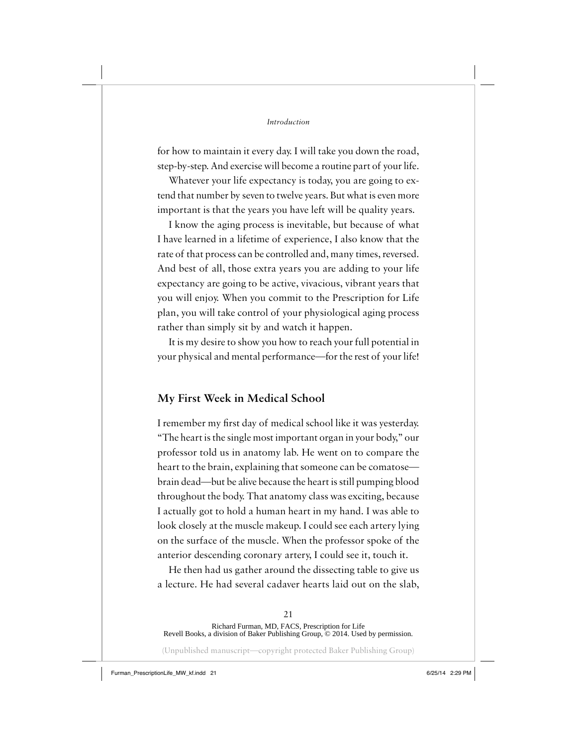for how to maintain it every day. I will take you down the road, step-by-step. And exercise will become a routine part of your life.

Whatever your life expectancy is today, you are going to extend that number by seven to twelve years. But what is even more important is that the years you have left will be quality years.

I know the aging process is inevitable, but because of what I have learned in a lifetime of experience, I also know that the rate of that process can be controlled and, many times, reversed. And best of all, those extra years you are adding to your life expectancy are going to be active, vivacious, vibrant years that you will enjoy. When you commit to the Prescription for Life plan, you will take control of your physiological aging process rather than simply sit by and watch it happen.

It is my desire to show you how to reach your full potential in your physical and mental performance—for the rest of your life!

#### **My First Week in Medical School**

I remember my first day of medical school like it was yesterday. "The heart is the single most important organ in your body," our professor told us in anatomy lab. He went on to compare the heart to the brain, explaining that someone can be comatose brain dead—but be alive because the heart is still pumping blood throughout the body. That anatomy class was exciting, because I actually got to hold a human heart in my hand. I was able to look closely at the muscle makeup. I could see each artery lying on the surface of the muscle. When the professor spoke of the anterior descending coronary artery, I could see it, touch it.

He then had us gather around the dissecting table to give us a lecture. He had several cadaver hearts laid out on the slab,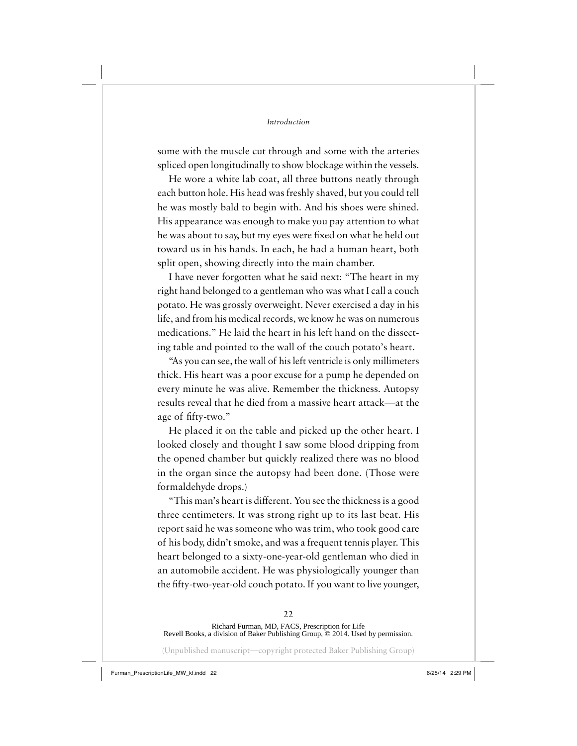some with the muscle cut through and some with the arteries spliced open longitudinally to show blockage within the vessels.

He wore a white lab coat, all three buttons neatly through each button hole. His head was freshly shaved, but you could tell he was mostly bald to begin with. And his shoes were shined. His appearance was enough to make you pay attention to what he was about to say, but my eyes were fixed on what he held out toward us in his hands. In each, he had a human heart, both split open, showing directly into the main chamber.

I have never forgotten what he said next: "The heart in my right hand belonged to a gentleman who was what I call a couch potato. He was grossly overweight. Never exercised a day in his life, and from his medical records, we know he was on numerous medications." He laid the heart in his left hand on the dissecting table and pointed to the wall of the couch potato's heart.

"As you can see, the wall of his left ventricle is only millimeters thick. His heart was a poor excuse for a pump he depended on every minute he was alive. Remember the thickness. Autopsy results reveal that he died from a massive heart attack—at the age of fifty-two."

He placed it on the table and picked up the other heart. I looked closely and thought I saw some blood dripping from the opened chamber but quickly realized there was no blood in the organ since the autopsy had been done. (Those were formaldehyde drops.)

"This man's heart is different. You see the thickness is a good three centimeters. It was strong right up to its last beat. His report said he was someone who was trim, who took good care of his body, didn't smoke, and was a frequent tennis player. This heart belonged to a sixty-one-year-old gentleman who died in an automobile accident. He was physiologically younger than the fifty-two-year-old couch potato. If you want to live younger,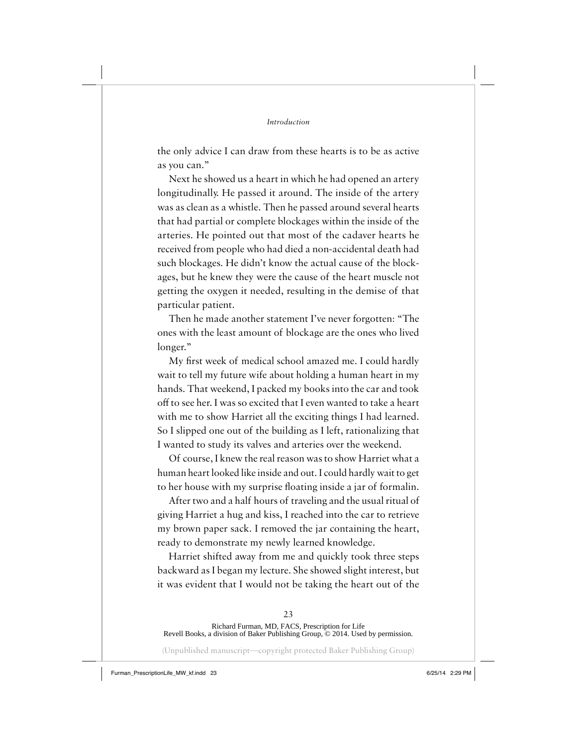the only advice I can draw from these hearts is to be as active as you can."

Next he showed us a heart in which he had opened an artery longitudinally. He passed it around. The inside of the artery was as clean as a whistle. Then he passed around several hearts that had partial or complete blockages within the inside of the arteries. He pointed out that most of the cadaver hearts he received from people who had died a non-accidental death had such blockages. He didn't know the actual cause of the blockages, but he knew they were the cause of the heart muscle not getting the oxygen it needed, resulting in the demise of that particular patient.

Then he made another statement I've never forgotten: "The ones with the least amount of blockage are the ones who lived longer."

My first week of medical school amazed me. I could hardly wait to tell my future wife about holding a human heart in my hands. That weekend, I packed my books into the car and took off to see her. I was so excited that I even wanted to take a heart with me to show Harriet all the exciting things I had learned. So I slipped one out of the building as I left, rationalizing that I wanted to study its valves and arteries over the weekend.

Of course, I knew the real reason was to show Harriet what a human heart looked like inside and out. I could hardly wait to get to her house with my surprise floating inside a jar of formalin.

After two and a half hours of traveling and the usual ritual of giving Harriet a hug and kiss, I reached into the car to retrieve my brown paper sack. I removed the jar containing the heart, ready to demonstrate my newly learned knowledge.

Harriet shifted away from me and quickly took three steps backward as I began my lecture. She showed slight interest, but it was evident that I would not be taking the heart out of the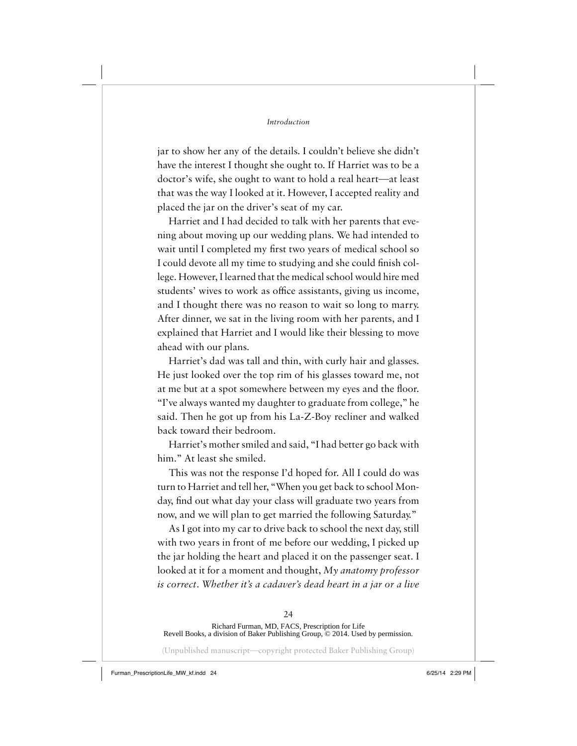jar to show her any of the details. I couldn't believe she didn't have the interest I thought she ought to. If Harriet was to be a doctor's wife, she ought to want to hold a real heart—at least that was the way I looked at it. However, I accepted reality and placed the jar on the driver's seat of my car.

Harriet and I had decided to talk with her parents that evening about moving up our wedding plans. We had intended to wait until I completed my first two years of medical school so I could devote all my time to studying and she could finish college. However, I learned that the medical school would hire med students' wives to work as office assistants, giving us income, and I thought there was no reason to wait so long to marry. After dinner, we sat in the living room with her parents, and I explained that Harriet and I would like their blessing to move ahead with our plans.

Harriet's dad was tall and thin, with curly hair and glasses. He just looked over the top rim of his glasses toward me, not at me but at a spot somewhere between my eyes and the floor. "I've always wanted my daughter to graduate from college," he said. Then he got up from his La-Z-Boy recliner and walked back toward their bedroom.

Harriet's mother smiled and said, "I had better go back with him." At least she smiled.

This was not the response I'd hoped for. All I could do was turn to Harriet and tell her, "When you get back to school Monday, find out what day your class will graduate two years from now, and we will plan to get married the following Saturday."

As I got into my car to drive back to school the next day, still with two years in front of me before our wedding, I picked up the jar holding the heart and placed it on the passenger seat. I looked at it for a moment and thought, *My anatomy professor is correct. Whether it's a cadaver's dead heart in a jar or a live*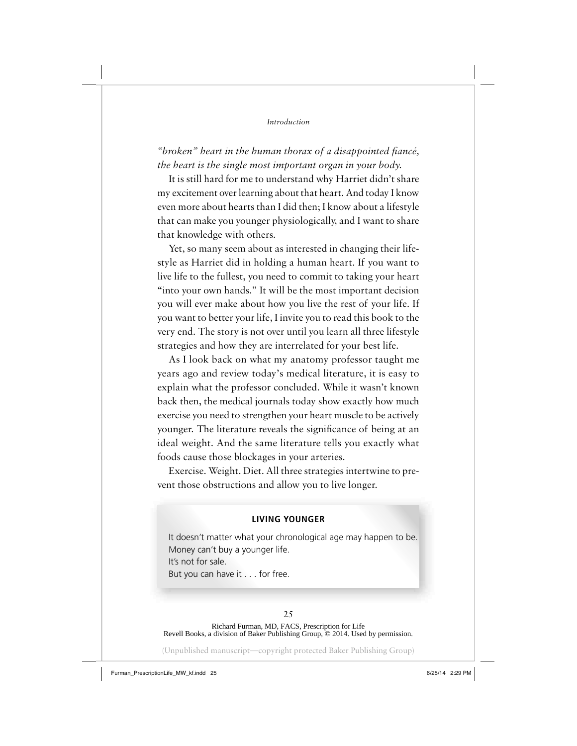*"broken" heart in the human thorax of a disappointed fiancé, the heart is the single most important organ in your body.*

It is still hard for me to understand why Harriet didn't share my excitement over learning about that heart. And today I know even more about hearts than I did then; I know about a lifestyle that can make you younger physiologically, and I want to share that knowledge with others.

Yet, so many seem about as interested in changing their lifestyle as Harriet did in holding a human heart. If you want to live life to the fullest, you need to commit to taking your heart "into your own hands." It will be the most important decision you will ever make about how you live the rest of your life. If you want to better your life, I invite you to read this book to the very end. The story is not over until you learn all three lifestyle strategies and how they are interrelated for your best life.

As I look back on what my anatomy professor taught me years ago and review today's medical literature, it is easy to explain what the professor concluded. While it wasn't known back then, the medical journals today show exactly how much exercise you need to strengthen your heart muscle to be actively younger. The literature reveals the significance of being at an ideal weight. And the same literature tells you exactly what foods cause those blockages in your arteries.

Exercise. Weight. Diet. All three strategies intertwine to prevent those obstructions and allow you to live longer.

#### **LIVING YOUNGER**

It doesn't matter what your chronological age may happen to be. Money can't buy a younger life. It's not for sale. But you can have it . . . for free.

Richard Furman, MD, FACS, Prescription for Life Revell Books, a division of Baker Publishing Group, © 2014. Used by permission.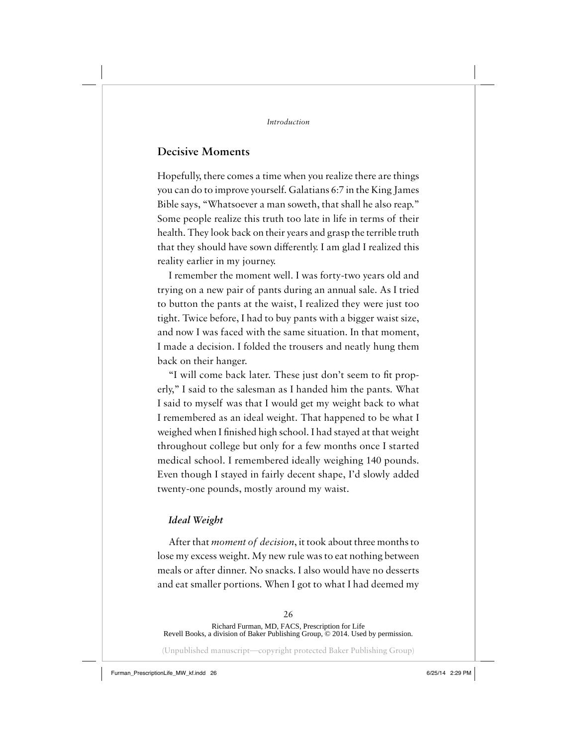#### **Decisive Moments**

Hopefully, there comes a time when you realize there are things you can do to improve yourself. Galatians 6:7 in the King James Bible says, "Whatsoever a man soweth, that shall he also reap." Some people realize this truth too late in life in terms of their health. They look back on their years and grasp the terrible truth that they should have sown differently. I am glad I realized this reality earlier in my journey.

I remember the moment well. I was forty-two years old and trying on a new pair of pants during an annual sale. As I tried to button the pants at the waist, I realized they were just too tight. Twice before, I had to buy pants with a bigger waist size, and now I was faced with the same situation. In that moment, I made a decision. I folded the trousers and neatly hung them back on their hanger.

"I will come back later. These just don't seem to fit properly," I said to the salesman as I handed him the pants. What I said to myself was that I would get my weight back to what I remembered as an ideal weight. That happened to be what I weighed when I finished high school. I had stayed at that weight throughout college but only for a few months once I started medical school. I remembered ideally weighing 140 pounds. Even though I stayed in fairly decent shape, I'd slowly added twenty-one pounds, mostly around my waist.

#### *Ideal Weight*

After that *moment of decision*, it took about three months to lose my excess weight. My new rule was to eat nothing between meals or after dinner. No snacks. I also would have no desserts and eat smaller portions. When I got to what I had deemed my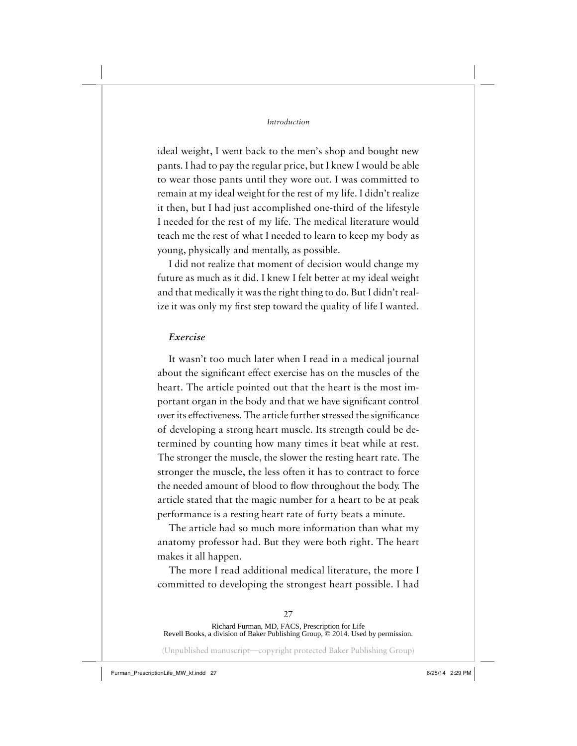ideal weight, I went back to the men's shop and bought new pants. I had to pay the regular price, but I knew I would be able to wear those pants until they wore out. I was committed to remain at my ideal weight for the rest of my life. I didn't realize it then, but I had just accomplished one-third of the lifestyle I needed for the rest of my life. The medical literature would teach me the rest of what I needed to learn to keep my body as young, physically and mentally, as possible.

I did not realize that moment of decision would change my future as much as it did. I knew I felt better at my ideal weight and that medically it was the right thing to do. But I didn't realize it was only my first step toward the quality of life I wanted.

#### *Exercise*

It wasn't too much later when I read in a medical journal about the significant effect exercise has on the muscles of the heart. The article pointed out that the heart is the most important organ in the body and that we have significant control over its effectiveness. The article further stressed the significance of developing a strong heart muscle. Its strength could be determined by counting how many times it beat while at rest. The stronger the muscle, the slower the resting heart rate. The stronger the muscle, the less often it has to contract to force the needed amount of blood to flow throughout the body. The article stated that the magic number for a heart to be at peak performance is a resting heart rate of forty beats a minute.

The article had so much more information than what my anatomy professor had. But they were both right. The heart makes it all happen.

The more I read additional medical literature, the more I committed to developing the strongest heart possible. I had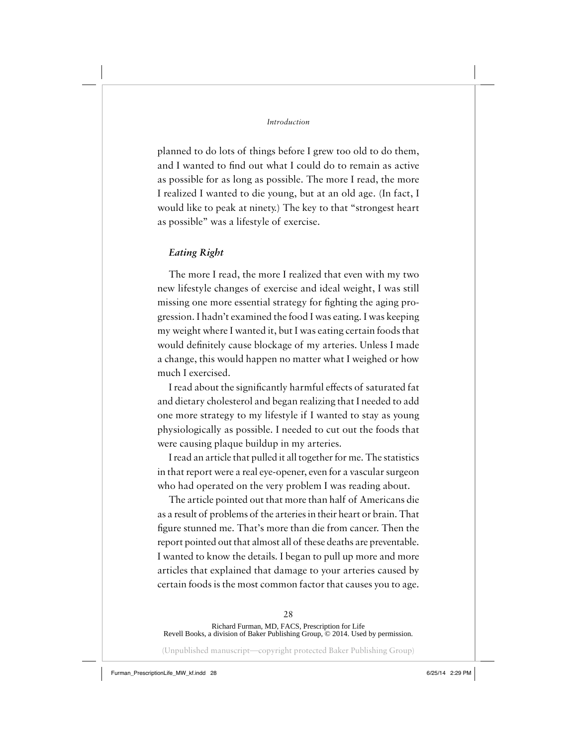planned to do lots of things before I grew too old to do them, and I wanted to find out what I could do to remain as active as possible for as long as possible. The more I read, the more I realized I wanted to die young, but at an old age. (In fact, I would like to peak at ninety.) The key to that "strongest heart as possible" was a lifestyle of exercise.

#### *Eating Right*

The more I read, the more I realized that even with my two new lifestyle changes of exercise and ideal weight, I was still missing one more essential strategy for fighting the aging progression. I hadn't examined the food I was eating. I was keeping my weight where I wanted it, but I was eating certain foods that would definitely cause blockage of my arteries. Unless I made a change, this would happen no matter what I weighed or how much I exercised.

I read about the significantly harmful effects of saturated fat and dietary cholesterol and began realizing that I needed to add one more strategy to my lifestyle if I wanted to stay as young physiologically as possible. I needed to cut out the foods that were causing plaque buildup in my arteries.

I read an article that pulled it all together for me. The statistics in that report were a real eye-opener, even for a vascular surgeon who had operated on the very problem I was reading about.

The article pointed out that more than half of Americans die as a result of problems of the arteries in their heart or brain. That figure stunned me. That's more than die from cancer. Then the report pointed out that almost all of these deaths are preventable. I wanted to know the details. I began to pull up more and more articles that explained that damage to your arteries caused by certain foods is the most common factor that causes you to age.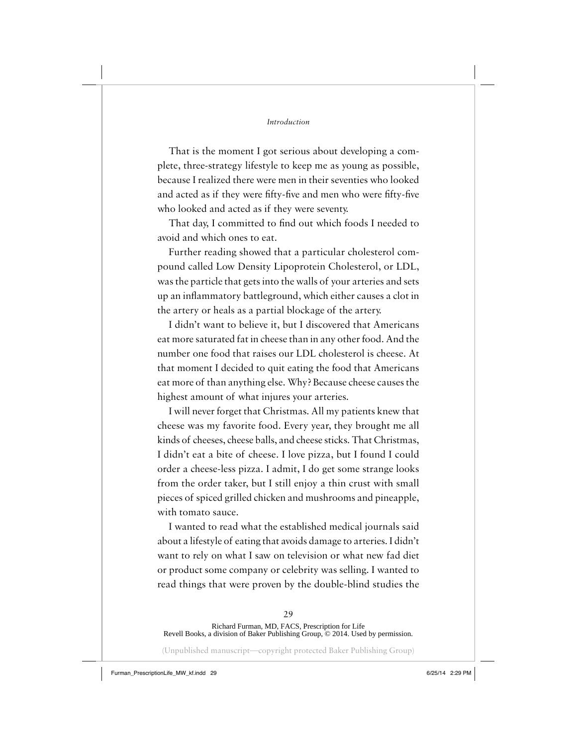That is the moment I got serious about developing a complete, three-strategy lifestyle to keep me as young as possible, because I realized there were men in their seventies who looked and acted as if they were fifty-five and men who were fifty-five who looked and acted as if they were seventy.

That day, I committed to find out which foods I needed to avoid and which ones to eat.

Further reading showed that a particular cholesterol compound called Low Density Lipoprotein Cholesterol, or LDL, was the particle that gets into the walls of your arteries and sets up an inflammatory battleground, which either causes a clot in the artery or heals as a partial blockage of the artery.

I didn't want to believe it, but I discovered that Americans eat more saturated fat in cheese than in any other food. And the number one food that raises our LDL cholesterol is cheese. At that moment I decided to quit eating the food that Americans eat more of than anything else. Why? Because cheese causes the highest amount of what injures your arteries.

I will never forget that Christmas. All my patients knew that cheese was my favorite food. Every year, they brought me all kinds of cheeses, cheese balls, and cheese sticks. That Christmas, I didn't eat a bite of cheese. I love pizza, but I found I could order a cheese-less pizza. I admit, I do get some strange looks from the order taker, but I still enjoy a thin crust with small pieces of spiced grilled chicken and mushrooms and pineapple, with tomato sauce.

I wanted to read what the established medical journals said about a lifestyle of eating that avoids damage to arteries. I didn't want to rely on what I saw on television or what new fad diet or product some company or celebrity was selling. I wanted to read things that were proven by the double-blind studies the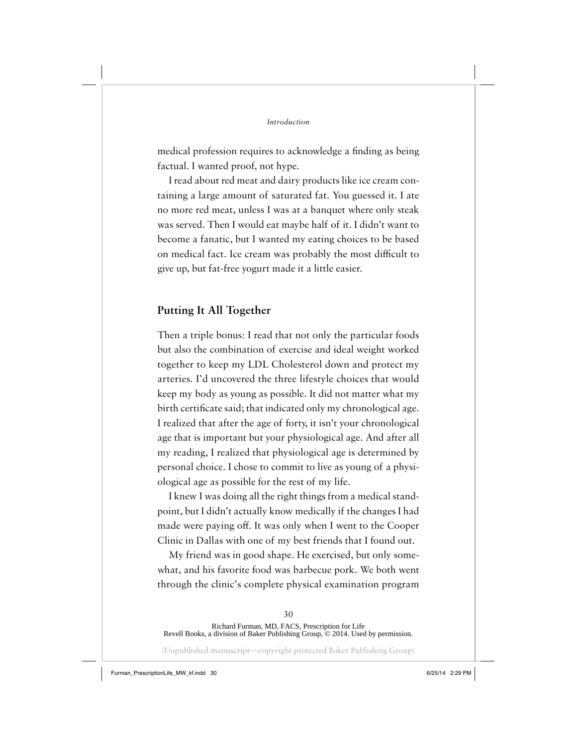medical profession requires to acknowledge a finding as being factual. I wanted proof, not hype.

I read about red meat and dairy products like ice cream containing a large amount of saturated fat. You guessed it. I ate no more red meat, unless I was at a banquet where only steak was served. Then I would eat maybe half of it. I didn't want to become a fanatic, but I wanted my eating choices to be based on medical fact. Ice cream was probably the most difficult to give up, but fat-free yogurt made it a little easier.

#### **Putting It All Together**

Then a triple bonus: I read that not only the particular foods but also the combination of exercise and ideal weight worked together to keep my LDL Cholesterol down and protect my arteries. I'd uncovered the three lifestyle choices that would keep my body as young as possible. It did not matter what my birth certificate said; that indicated only my chronological age. I realized that after the age of forty, it isn't your chronological age that is important but your physiological age. And after all my reading, I realized that physiological age is determined by personal choice. I chose to commit to live as young of a physiological age as possible for the rest of my life.

I knew I was doing all the right things from a medical standpoint, but I didn't actually know medically if the changes I had made were paying off. It was only when I went to the Cooper Clinic in Dallas with one of my best friends that I found out.

My friend was in good shape. He exercised, but only somewhat, and his favorite food was barbecue pork. We both went through the clinic's complete physical examination program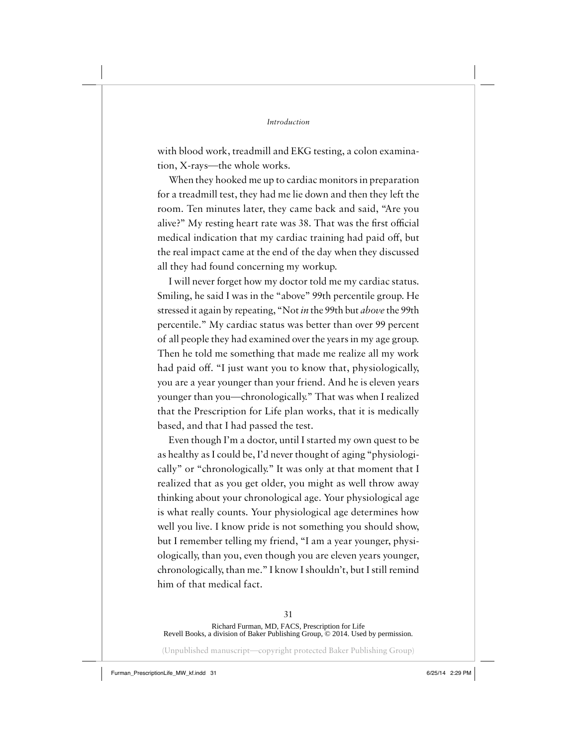with blood work, treadmill and EKG testing, a colon examination, X-rays—the whole works.

When they hooked me up to cardiac monitors in preparation for a treadmill test, they had me lie down and then they left the room. Ten minutes later, they came back and said, "Are you alive?" My resting heart rate was 38. That was the first official medical indication that my cardiac training had paid off, but the real impact came at the end of the day when they discussed all they had found concerning my workup.

I will never forget how my doctor told me my cardiac status. Smiling, he said I was in the "above" 99th percentile group. He stressed it again by repeating, "Not *in* the 99th but *above* the 99th percentile." My cardiac status was better than over 99 percent of all people they had examined over the years in my age group. Then he told me something that made me realize all my work had paid off. "I just want you to know that, physiologically, you are a year younger than your friend. And he is eleven years younger than you—chronologically." That was when I realized that the Prescription for Life plan works, that it is medically based, and that I had passed the test.

Even though I'm a doctor, until I started my own quest to be as healthy as I could be, I'd never thought of aging "physiologically" or "chronologically." It was only at that moment that I realized that as you get older, you might as well throw away thinking about your chronological age. Your physiological age is what really counts. Your physiological age determines how well you live. I know pride is not something you should show, but I remember telling my friend, "I am a year younger, physiologically, than you, even though you are eleven years younger, chronologically, than me." I know I shouldn't, but I still remind him of that medical fact.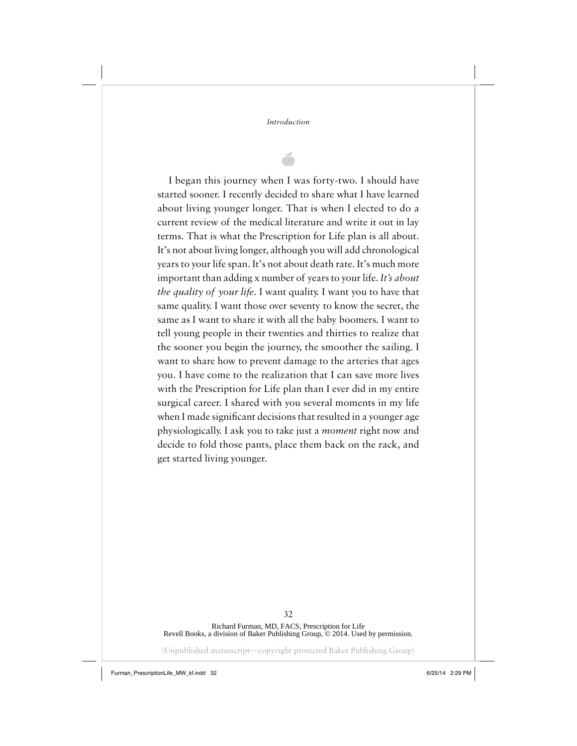I began this journey when I was forty-two. I should have started sooner. I recently decided to share what I have learned about living younger longer. That is when I elected to do a current review of the medical literature and write it out in lay terms. That is what the Prescription for Life plan is all about. It's not about living longer, although you will add chronological years to your life span. It's not about death rate. It's much more important than adding x number of years to your life. *It's about the quality of your life*. I want quality. I want you to have that same quality. I want those over seventy to know the secret, the same as I want to share it with all the baby boomers. I want to tell young people in their twenties and thirties to realize that the sooner you begin the journey, the smoother the sailing. I want to share how to prevent damage to the arteries that ages you. I have come to the realization that I can save more lives with the Prescription for Life plan than I ever did in my entire surgical career. I shared with you several moments in my life when I made significant decisions that resulted in a younger age physiologically. I ask you to take just a *moment* right now and decide to fold those pants, place them back on the rack, and get started living younger.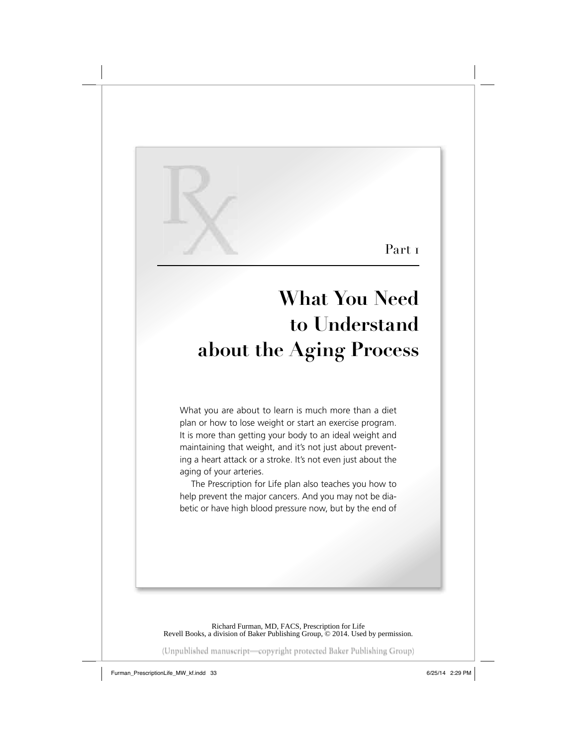### Part<sub>I</sub>

# **What You Need to Understand about the Aging Process**

What you are about to learn is much more than a diet plan or how to lose weight or start an exercise program. It is more than getting your body to an ideal weight and maintaining that weight, and it's not just about preventing a heart attack or a stroke. It's not even just about the aging of your arteries.

The Prescription for Life plan also teaches you how to help prevent the major cancers. And you may not be diabetic or have high blood pressure now, but by the end of

Richard Furman, MD, FACS, Prescription for Life Revell Books, a division of Baker Publishing Group, © 2014. Used by permission.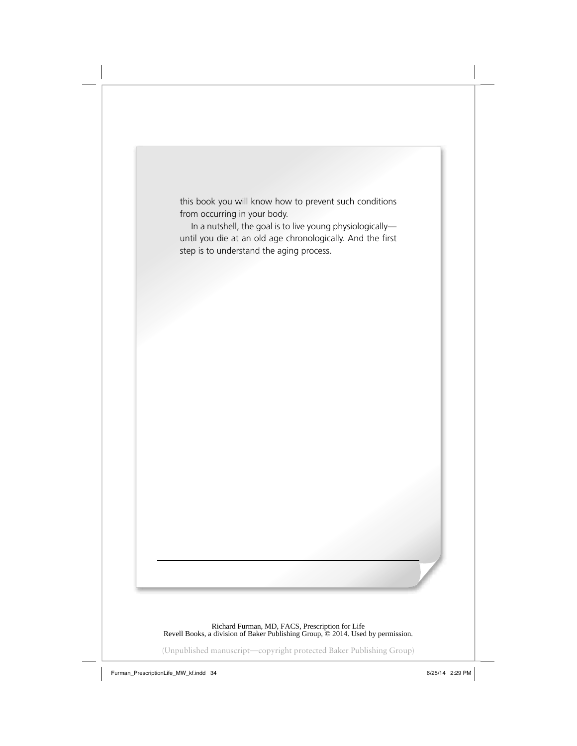this book you will know how to prevent such conditions from occurring in your body.

In a nutshell, the goal is to live young physiologically until you die at an old age chronologically. And the first step is to understand the aging process.

Richard Furman, MD, FACS, Prescription for Life Revell Books, a division of Baker Publishing Group, © 2014. Used by permission.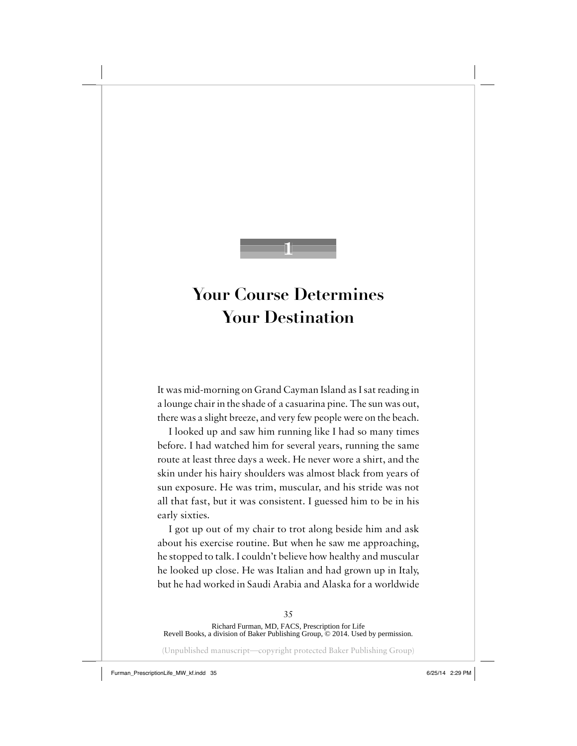

# **Your Course Determines Your Destination**

It was mid-morning on Grand Cayman Island as I sat reading in a lounge chair in the shade of a casuarina pine. The sun was out, there was a slight breeze, and very few people were on the beach.

I looked up and saw him running like I had so many times before. I had watched him for several years, running the same route at least three days a week. He never wore a shirt, and the skin under his hairy shoulders was almost black from years of sun exposure. He was trim, muscular, and his stride was not all that fast, but it was consistent. I guessed him to be in his early sixties.

I got up out of my chair to trot along beside him and ask about his exercise routine. But when he saw me approaching, he stopped to talk. I couldn't believe how healthy and muscular he looked up close. He was Italian and had grown up in Italy, but he had worked in Saudi Arabia and Alaska for a worldwide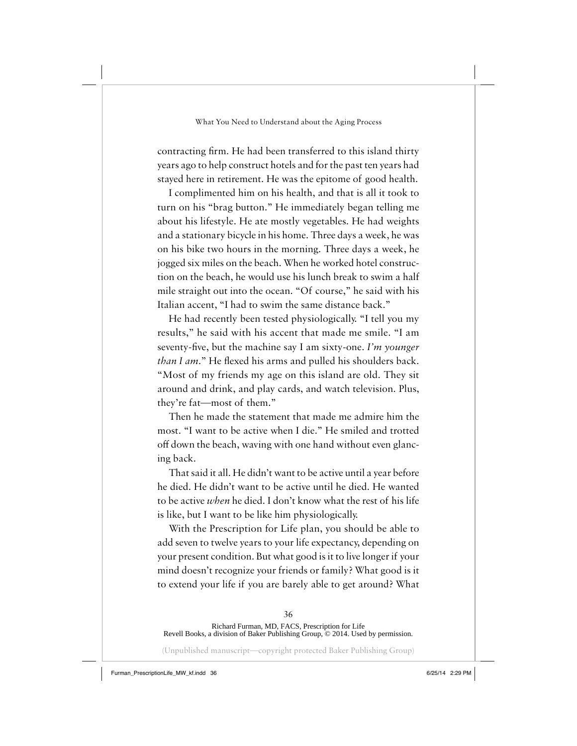contracting firm. He had been transferred to this island thirty years ago to help construct hotels and for the past ten years had stayed here in retirement. He was the epitome of good health.

I complimented him on his health, and that is all it took to turn on his "brag button." He immediately began telling me about his lifestyle. He ate mostly vegetables. He had weights and a stationary bicycle in his home. Three days a week, he was on his bike two hours in the morning. Three days a week, he jogged six miles on the beach. When he worked hotel construction on the beach, he would use his lunch break to swim a half mile straight out into the ocean. "Of course," he said with his Italian accent, "I had to swim the same distance back."

He had recently been tested physiologically. "I tell you my results," he said with his accent that made me smile. "I am seventy-five, but the machine say I am sixty-one. *I'm younger than I am*." He flexed his arms and pulled his shoulders back. "Most of my friends my age on this island are old. They sit around and drink, and play cards, and watch television. Plus, they're fat—most of them."

Then he made the statement that made me admire him the most. "I want to be active when I die." He smiled and trotted off down the beach, waving with one hand without even glancing back.

That said it all. He didn't want to be active until a year before he died. He didn't want to be active until he died. He wanted to be active *when* he died. I don't know what the rest of his life is like, but I want to be like him physiologically.

With the Prescription for Life plan, you should be able to add seven to twelve years to your life expectancy, depending on your present condition. But what good is it to live longer if your mind doesn't recognize your friends or family? What good is it to extend your life if you are barely able to get around? What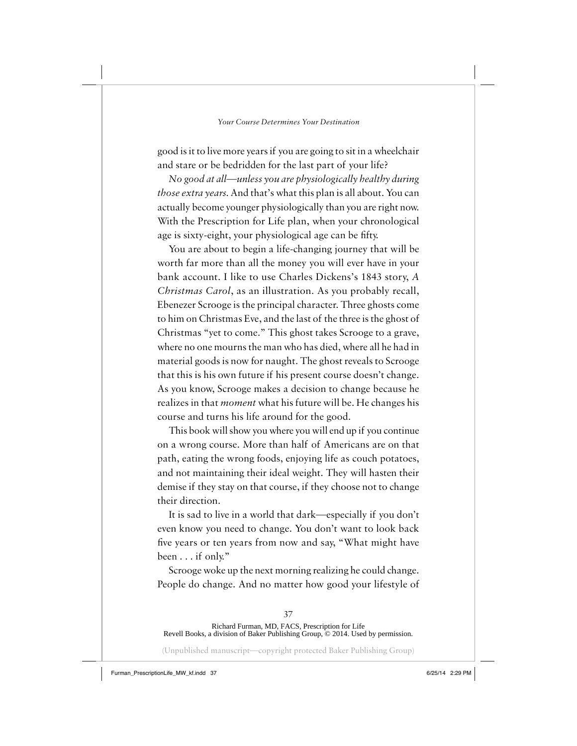#### *Your Course Determines Your Destination*

good is it to live more years if you are going to sit in a wheelchair and stare or be bedridden for the last part of your life?

*No good at all*—*unless you are physiologically healthy during those extra years.* And that's what this plan is all about. You can actually become younger physiologically than you are right now. With the Prescription for Life plan, when your chronological age is sixty-eight, your physiological age can be fifty.

You are about to begin a life-changing journey that will be worth far more than all the money you will ever have in your bank account. I like to use Charles Dickens's 1843 story, *A Christmas Carol*, as an illustration. As you probably recall, Ebenezer Scrooge is the principal character. Three ghosts come to him on Christmas Eve, and the last of the three is the ghost of Christmas "yet to come." This ghost takes Scrooge to a grave, where no one mourns the man who has died, where all he had in material goods is now for naught. The ghost reveals to Scrooge that this is his own future if his present course doesn't change. As you know, Scrooge makes a decision to change because he realizes in that *moment* what his future will be. He changes his course and turns his life around for the good.

This book will show you where you will end up if you continue on a wrong course. More than half of Americans are on that path, eating the wrong foods, enjoying life as couch potatoes, and not maintaining their ideal weight. They will hasten their demise if they stay on that course, if they choose not to change their direction.

It is sad to live in a world that dark—especially if you don't even know you need to change. You don't want to look back five years or ten years from now and say, "What might have been . . . if only."

Scrooge woke up the next morning realizing he could change. People do change. And no matter how good your lifestyle of